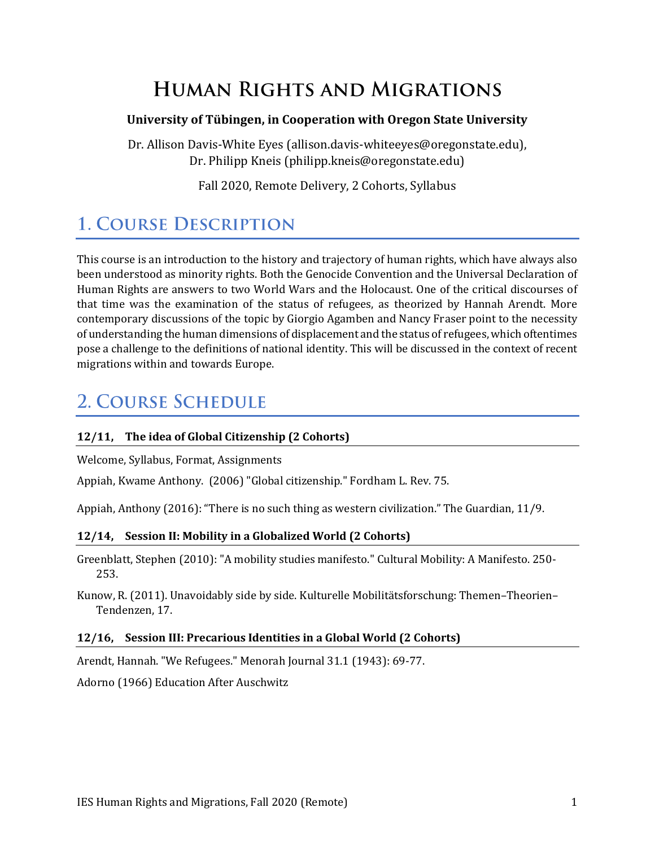# **HUMAN RIGHTS AND MIGRATIONS**

### **University of Tübingen, in Cooperation with Oregon State University**

Dr. Allison Davis-White Eyes (allison.davis-whiteeyes@oregonstate.edu), Dr. Philipp Kneis (philipp.kneis@oregonstate.edu)

Fall 2020, Remote Delivery, 2 Cohorts, Syllabus

# **1. COURSE DESCRIPTION**

This course is an introduction to the history and trajectory of human rights, which have always also been understood as minority rights. Both the Genocide Convention and the Universal Declaration of Human Rights are answers to two World Wars and the Holocaust. One of the critical discourses of that time was the examination of the status of refugees, as theorized by Hannah Arendt. More contemporary discussions of the topic by Giorgio Agamben and Nancy Fraser point to the necessity of understanding the human dimensions of displacement and the status of refugees, which oftentimes pose a challenge to the definitions of national identity. This will be discussed in the context of recent migrations within and towards Europe.

### **2. COURSE SCHEDULE**

### **12/11, The idea of Global Citizenship (2 Cohorts)**

Welcome, Syllabus, Format, Assignments

Appiah, Kwame Anthony. (2006) "Global citizenship." Fordham L. Rev. 75.

Appiah, Anthony (2016): "There is no such thing as western civilization." The Guardian, 11/9.

#### **12/14, Session II: Mobility in a Globalized World (2 Cohorts)**

Greenblatt, Stephen (2010): "A mobility studies manifesto." Cultural Mobility: A Manifesto. 250- 253.

Kunow, R. (2011). Unavoidably side by side. Kulturelle Mobilitätsforschung: Themen–Theorien– Tendenzen, 17.

#### **12/16, Session III: Precarious Identities in a Global World (2 Cohorts)**

Arendt, Hannah. "We Refugees." Menorah Journal 31.1 (1943): 69-77.

Adorno (1966) Education After Auschwitz